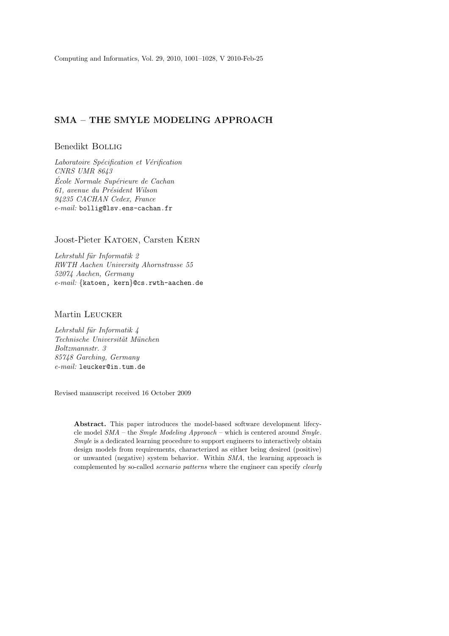Computing and Informatics, Vol. 29, 2010, 1001–1028, V 2010-Feb-25

# SMA – THE SMYLE MODELING APPROACH

## Benedikt Bollig

*Laboratoire Sp´ecification et V´erification CNRS UMR 8643*  $École Normale Supérieure de Cachan$ *61, avenue du Pr´esident Wilson 94235 CACHAN Cedex, France e-mail:* bollig@lsv.ens-cachan.fr

## Joost-Pieter KATOEN, Carsten KERN

*Lehrstuhl f¨ur Informatik 2 RWTH Aachen University Ahornstrasse 55 52074 Aachen, Germany e-mail:* {katoen, kern}@cs.rwth-aachen.de

Martin Leucker

*Lehrstuhl f¨ur Informatik 4 Technische Universit¨at M¨unchen Boltzmannstr. 3 85748 Garching, Germany e-mail:* leucker@in.tum.de

Revised manuscript received 16 October 2009

Abstract. This paper introduces the model-based software development lifecycle model  $SMA$  – the *Smyle Modeling Approach* – which is centered around *Smyle*. Smyle is a dedicated learning procedure to support engineers to interactively obtain design models from requirements, characterized as either being desired (positive) or unwanted (negative) system behavior. Within SMA, the learning approach is complemented by so-called scenario patterns where the engineer can specify clearly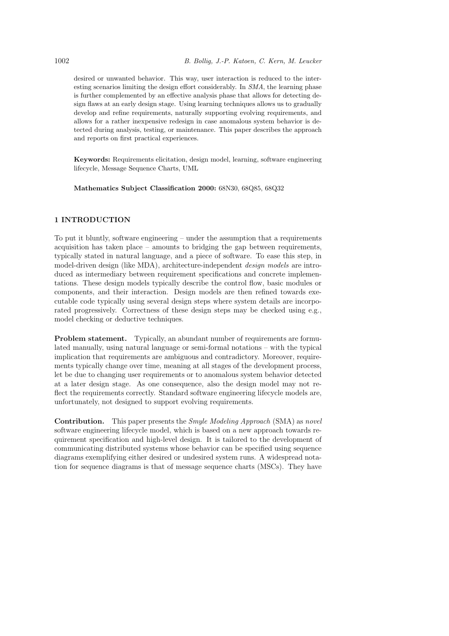desired or unwanted behavior. This way, user interaction is reduced to the interesting scenarios limiting the design effort considerably. In SMA, the learning phase is further complemented by an effective analysis phase that allows for detecting design flaws at an early design stage. Using learning techniques allows us to gradually develop and refine requirements, naturally supporting evolving requirements, and allows for a rather inexpensive redesign in case anomalous system behavior is detected during analysis, testing, or maintenance. This paper describes the approach and reports on first practical experiences.

Keywords: Requirements elicitation, design model, learning, software engineering lifecycle, Message Sequence Charts, UML

Mathematics Subject Classification 2000: 68N30, 68Q85, 68Q32

## 1 INTRODUCTION

To put it bluntly, software engineering – under the assumption that a requirements acquisition has taken place – amounts to bridging the gap between requirements, typically stated in natural language, and a piece of software. To ease this step, in model-driven design (like MDA), architecture-independent *design models* are introduced as intermediary between requirement specifications and concrete implementations. These design models typically describe the control flow, basic modules or components, and their interaction. Design models are then refined towards executable code typically using several design steps where system details are incorporated progressively. Correctness of these design steps may be checked using e.g., model checking or deductive techniques.

Problem statement. Typically, an abundant number of requirements are formulated manually, using natural language or semi-formal notations – with the typical implication that requirements are ambiguous and contradictory. Moreover, requirements typically change over time, meaning at all stages of the development process, let be due to changing user requirements or to anomalous system behavior detected at a later design stage. As one consequence, also the design model may not reflect the requirements correctly. Standard software engineering lifecycle models are, unfortunately, not designed to support evolving requirements.

Contribution. This paper presents the *Smyle Modeling Approach* (SMA) as *novel* software engineering lifecycle model, which is based on a new approach towards requirement specification and high-level design. It is tailored to the development of communicating distributed systems whose behavior can be specified using sequence diagrams exemplifying either desired or undesired system runs. A widespread notation for sequence diagrams is that of message sequence charts (MSCs). They have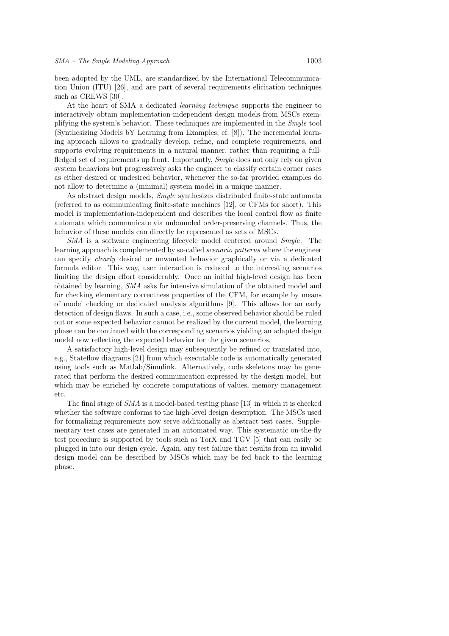been adopted by the UML, are standardized by the International Telecommunication Union (ITU) [26], and are part of several requirements elicitation techniques such as CREWS [30].

At the heart of SMA a dedicated *learning technique* supports the engineer to interactively obtain implementation-independent design models from MSCs exemplifying the system's behavior. These techniques are implemented in the *Smyle* tool (Synthesizing Models bY Learning from Examples, cf. [8]). The incremental learning approach allows to gradually develop, refine, and complete requirements, and supports evolving requirements in a natural manner, rather than requiring a fullfledged set of requirements up front. Importantly, *Smyle* does not only rely on given system behaviors but progressively asks the engineer to classify certain corner cases as either desired or undesired behavior, whenever the so-far provided examples do not allow to determine a (minimal) system model in a unique manner.

As abstract design models, *Smyle* synthesizes distributed finite-state automata (referred to as communicating finite-state machines [12], or CFMs for short). This model is implementation-independent and describes the local control flow as finite automata which communicate via unbounded order-preserving channels. Thus, the behavior of these models can directly be represented as sets of MSCs.

*SMA* is a software engineering lifecycle model centered around *Smyle*. The learning approach is complemented by so-called *scenario patterns* where the engineer can specify *clearly* desired or unwanted behavior graphically or via a dedicated formula editor. This way, user interaction is reduced to the interesting scenarios limiting the design effort considerably. Once an initial high-level design has been obtained by learning, *SMA* asks for intensive simulation of the obtained model and for checking elementary correctness properties of the CFM, for example by means of model checking or dedicated analysis algorithms [9]. This allows for an early detection of design flaws. In such a case, i.e., some observed behavior should be ruled out or some expected behavior cannot be realized by the current model, the learning phase can be continued with the corresponding scenarios yielding an adapted design model now reflecting the expected behavior for the given scenarios.

A satisfactory high-level design may subsequently be refined or translated into, e.g., Stateflow diagrams [21] from which executable code is automatically generated using tools such as Matlab/Simulink. Alternatively, code skeletons may be generated that perform the desired communication expressed by the design model, but which may be enriched by concrete computations of values, memory management etc.

The final stage of *SMA* is a model-based testing phase [13] in which it is checked whether the software conforms to the high-level design description. The MSCs used for formalizing requirements now serve additionally as abstract test cases. Supplementary test cases are generated in an automated way. This systematic on-the-fly test procedure is supported by tools such as TorX and TGV [5] that can easily be plugged in into our design cycle. Again, any test failure that results from an invalid design model can be described by MSCs which may be fed back to the learning phase.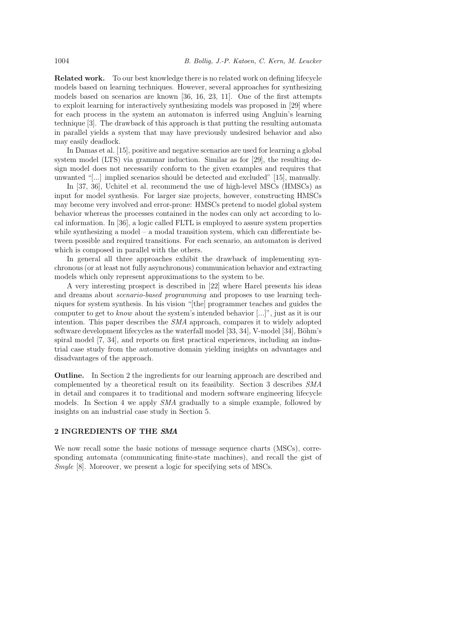Related work. To our best knowledge there is no related work on defining lifecycle models based on learning techniques. However, several approaches for synthesizing models based on scenarios are known [36, 16, 23, 11]. One of the first attempts to exploit learning for interactively synthesizing models was proposed in [29] where for each process in the system an automaton is inferred using Angluin's learning technique [3]. The drawback of this approach is that putting the resulting automata in parallel yields a system that may have previously undesired behavior and also may easily deadlock.

In Damas et al. [15], positive and negative scenarios are used for learning a global system model (LTS) via grammar induction. Similar as for [29], the resulting design model does not necessarily conform to the given examples and requires that unwanted "[...] implied scenarios should be detected and excluded" [15], manually.

In [37, 36], Uchitel et al. recommend the use of high-level MSCs (HMSCs) as input for model synthesis. For larger size projects, however, constructing HMSCs may become very involved and error-prone: HMSCs pretend to model global system behavior whereas the processes contained in the nodes can only act according to local information. In [36], a logic called FLTL is employed to assure system properties while synthesizing a model – a modal transition system, which can differentiate between possible and required transitions. For each scenario, an automaton is derived which is composed in parallel with the others.

In general all three approaches exhibit the drawback of implementing synchronous (or at least not fully asynchronous) communication behavior and extracting models which only represent approximations to the system to be.

A very interesting prospect is described in [22] where Harel presents his ideas and dreams about *scenario-based programming* and proposes to use learning techniques for system synthesis. In his vision "[the] programmer teaches and guides the computer to get to *know* about the system's intended behavior [...]", just as it is our intention. This paper describes the *SMA* approach, compares it to widely adopted software development lifecycles as the waterfall model  $[33, 34]$ , V-model  $[34]$ , Böhm's spiral model [7, 34], and reports on first practical experiences, including an industrial case study from the automotive domain yielding insights on advantages and disadvantages of the approach.

Outline. In Section 2 the ingredients for our learning approach are described and complemented by a theoretical result on its feasibility. Section 3 describes *SMA* in detail and compares it to traditional and modern software engineering lifecycle models. In Section 4 we apply *SMA* gradually to a simple example, followed by insights on an industrial case study in Section 5.

## 2 INGREDIENTS OF THE SMA

We now recall some the basic notions of message sequence charts (MSCs), corresponding automata (communicating finite-state machines), and recall the gist of *Smyle* [8]. Moreover, we present a logic for specifying sets of MSCs.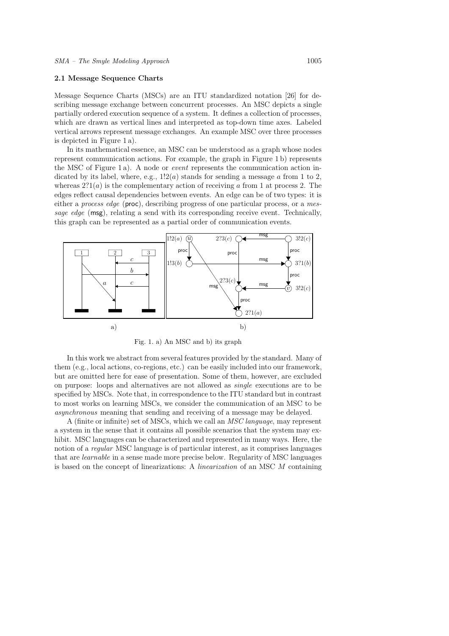## 2.1 Message Sequence Charts

Message Sequence Charts (MSCs) are an ITU standardized notation [26] for describing message exchange between concurrent processes. An MSC depicts a single partially ordered execution sequence of a system. It defines a collection of processes, which are drawn as vertical lines and interpreted as top-down time axes. Labeled vertical arrows represent message exchanges. An example MSC over three processes is depicted in Figure 1 a).

In its mathematical essence, an MSC can be understood as a graph whose nodes represent communication actions. For example, the graph in Figure 1 b) represents the MSC of Figure 1 a). A node or *event* represents the communication action indicated by its label, where, e.g.,  $1!2(a)$  stands for sending a message a from 1 to 2, whereas  $2?1(a)$  is the complementary action of receiving a from 1 at process 2. The edges reflect causal dependencies between events. An edge can be of two types: it is either a *process edge* (proc), describing progress of one particular process, or a *message edge* (msg), relating a send with its corresponding receive event. Technically, this graph can be represented as a partial order of communication events.



Fig. 1. a) An MSC and b) its graph

In this work we abstract from several features provided by the standard. Many of them (e.g., local actions, co-regions, etc.) can be easily included into our framework, but are omitted here for ease of presentation. Some of them, however, are excluded on purpose: loops and alternatives are not allowed as *single* executions are to be specified by MSCs. Note that, in correspondence to the ITU standard but in contrast to most works on learning MSCs, we consider the communication of an MSC to be *asynchronous* meaning that sending and receiving of a message may be delayed.

A (finite or infinite) set of MSCs, which we call an *MSC language*, may represent a system in the sense that it contains all possible scenarios that the system may exhibit. MSC languages can be characterized and represented in many ways. Here, the notion of a *regular* MSC language is of particular interest, as it comprises languages that are *learnable* in a sense made more precise below. Regularity of MSC languages is based on the concept of linearizations: A *linearization* of an MSC M containing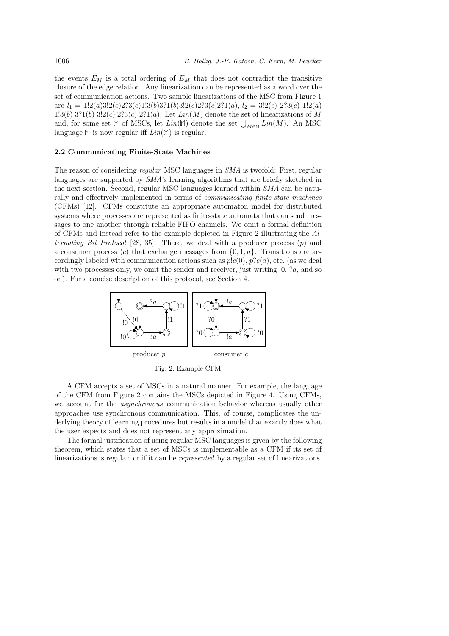the events  $E_M$  is a total ordering of  $E_M$  that does not contradict the transitive closure of the edge relation. Any linearization can be represented as a word over the set of communication actions. Two sample linearizations of the MSC from Figure 1 are  $l_1 = 1!2(a)3!2(c)2?3(c)1!3(b)3?1(b)3!2(c)2?3(c)2?1(a), l_2 = 3!2(c) 2?3(c) 1!2(a)$ 1!3(b)  $3?1(b)$   $3!2(c)$   $2?3(c)$   $2?1(a)$ . Let  $Lin(M)$  denote the set of linearizations of M and, for some set  $M$  of MSCs, let  $Lin(M)$  denote the set  $\bigcup_{M\in\mathbb{M}} Lin(M)$ . An MSC language  $M$  is now regular iff  $Lin(M)$  is regular.

## 2.2 Communicating Finite-State Machines

The reason of considering *regular* MSC languages in *SMA* is twofold: First, regular languages are supported by *SMA*'s learning algorithms that are briefly sketched in the next section. Second, regular MSC languages learned within *SMA* can be naturally and effectively implemented in terms of *communicating finite-state machines* (CFMs) [12]. CFMs constitute an appropriate automaton model for distributed systems where processes are represented as finite-state automata that can send messages to one another through reliable FIFO channels. We omit a formal definition of CFMs and instead refer to the example depicted in Figure 2 illustrating the *Alternating Bit Protocol* [28, 35]. There, we deal with a producer process (p) and a consumer process (c) that exchange messages from  $\{0, 1, a\}$ . Transitions are accordingly labeled with communication actions such as  $p!c(0), p?c(a)$ , etc. (as we deal with two processes only, we omit the sender and receiver, just writing  $[0, 2a]$ , and so on). For a concise description of this protocol, see Section 4.



Fig. 2. Example CFM

A CFM accepts a set of MSCs in a natural manner. For example, the language of the CFM from Figure 2 contains the MSCs depicted in Figure 4. Using CFMs, we account for the *asynchronous* communication behavior whereas usually other approaches use synchronous communication. This, of course, complicates the underlying theory of learning procedures but results in a model that exactly does what the user expects and does not represent any approximation.

The formal justification of using regular MSC languages is given by the following theorem, which states that a set of MSCs is implementable as a CFM if its set of linearizations is regular, or if it can be *represented* by a regular set of linearizations.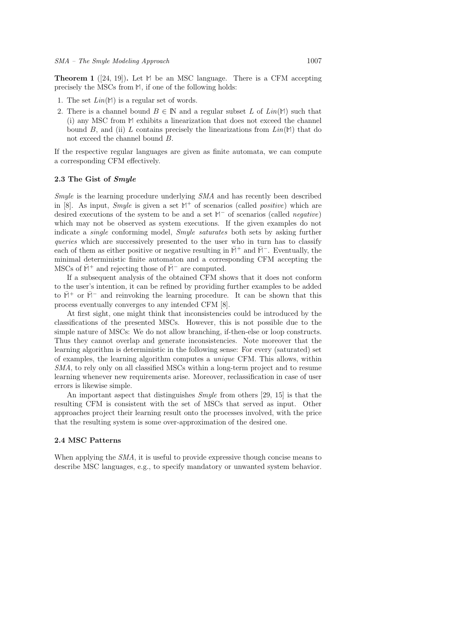**Theorem 1** ([24, 19]). Let  $M$  be an MSC language. There is a CFM accepting precisely the MSCs from <sup>M</sup>, if one of the following holds:

- 1. The set  $Lin(\mathbb{M})$  is a regular set of words.
- 2. There is a channel bound  $B \in \mathbb{N}$  and a regular subset L of  $Lin(\mathbb{M})$  such that (i) any MSC from <sup>M</sup> exhibits a linearization that does not exceed the channel bound  $B$ , and (ii)  $L$  contains precisely the linearizations from  $Lin(M)$  that do not exceed the channel bound B.

If the respective regular languages are given as finite automata, we can compute a corresponding CFM effectively.

#### 2.3 The Gist of Smyle

*Smyle* is the learning procedure underlying *SMA* and has recently been described in [8]. As input, *Smyle* is given a set  $\mathbb{M}^+$  of scenarios (called *positive*) which are desired executions of the system to be and a set <sup>M</sup><sup>−</sup> of scenarios (called *negative*) which may not be observed as system executions. If the given examples do not indicate a *single* conforming model, *Smyle saturates* both sets by asking further *queries* which are successively presented to the user who in turn has to classify each of them as either positive or negative resulting in  $M^+$  and  $M^-$ . Eventually, the minimal deterministic finite automaton and a corresponding CFM accepting the MSCs of  $\overline{\mathbb{M}}^+$  and rejecting those of  $\overline{\mathbb{M}}^-$  are computed.

If a subsequent analysis of the obtained CFM shows that it does not conform to the user's intention, it can be refined by providing further examples to be added to  $\bar{\mathbb{M}}^+$  or  $\bar{\mathbb{M}}^-$  and reinvoking the learning procedure. It can be shown that this process eventually converges to any intended CFM [8].

At first sight, one might think that inconsistencies could be introduced by the classifications of the presented MSCs. However, this is not possible due to the simple nature of MSCs: We do not allow branching, if-then-else or loop constructs. Thus they cannot overlap and generate inconsistencies. Note moreover that the learning algorithm is deterministic in the following sense: For every (saturated) set of examples, the learning algorithm computes a *unique* CFM. This allows, within *SMA*, to rely only on all classified MSCs within a long-term project and to resume learning whenever new requirements arise. Moreover, reclassification in case of user errors is likewise simple.

An important aspect that distinguishes *Smyle* from others [29, 15] is that the resulting CFM is consistent with the set of MSCs that served as input. Other approaches project their learning result onto the processes involved, with the price that the resulting system is some over-approximation of the desired one.

### 2.4 MSC Patterns

When applying the *SMA*, it is useful to provide expressive though concise means to describe MSC languages, e.g., to specify mandatory or unwanted system behavior.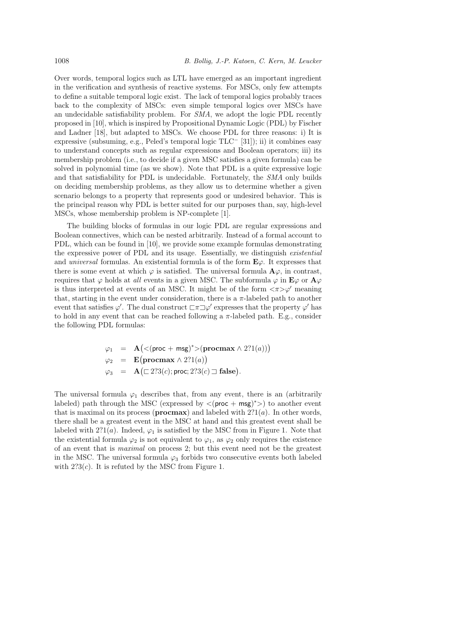Over words, temporal logics such as LTL have emerged as an important ingredient in the verification and synthesis of reactive systems. For MSCs, only few attempts to define a suitable temporal logic exist. The lack of temporal logics probably traces back to the complexity of MSCs: even simple temporal logics over MSCs have an undecidable satisfiability problem. For *SMA*, we adopt the logic PDL recently proposed in [10], which is inspired by Propositional Dynamic Logic (PDL) by Fischer and Ladner [18], but adapted to MSCs. We choose PDL for three reasons: i) It is expressive (subsuming, e.g., Peled's temporal logic  $TLC<sup>-</sup>[31]$ ); ii) it combines easy to understand concepts such as regular expressions and Boolean operators; iii) its membership problem (i.e., to decide if a given MSC satisfies a given formula) can be solved in polynomial time (as we show). Note that PDL is a quite expressive logic and that satisfiability for PDL is undecidable. Fortunately, the *SMA* only builds on deciding membership problems, as they allow us to determine whether a given scenario belongs to a property that represents good or undesired behavior. This is the principal reason why PDL is better suited for our purposes than, say, high-level MSCs, whose membership problem is NP-complete [1].

The building blocks of formulas in our logic PDL are regular expressions and Boolean connectives, which can be nested arbitrarily. Instead of a formal account to PDL, which can be found in [10], we provide some example formulas demonstrating the expressive power of PDL and its usage. Essentially, we distinguish *existential* and *universal* formulas. An existential formula is of the form  $E\varphi$ . It expresses that there is some event at which  $\varphi$  is satisfied. The universal formula  $\mathbf{A}\varphi$ , in contrast, requires that  $\varphi$  holds at *all* events in a given MSC. The subformula  $\varphi$  in  $\mathbf{E}\varphi$  or  $\mathbf{A}\varphi$ is thus interpreted at events of an MSC. It might be of the form  $\langle \pi \rangle \varphi'$  meaning that, starting in the event under consideration, there is a  $\pi$ -labeled path to another event that satisfies  $\varphi'$ . The dual construct  $\Box \pi \Box \varphi'$  expresses that the property  $\varphi'$  has to hold in any event that can be reached following a  $\pi$ -labeled path. E.g., consider the following PDL formulas:

$$
\varphi_1 = \mathbf{A} \big( \langle \mathsf{proc} + \mathsf{msg} \rangle^* \rangle \big( \mathbf{procmax} \land 2?\mathbb{1}(a) \big) \big) \n\varphi_2 = \mathbf{E} \big( \mathbf{procmax} \land 2?\mathbb{1}(a) \big) \n\varphi_3 = \mathbf{A} \big( \square 2?\mathbb{3}(c); \mathsf{proc}; 2?\mathbb{3}(c) \sqsupset \mathbf{false} \big).
$$

The universal formula  $\varphi_1$  describes that, from any event, there is an (arbitrarily labeled) path through the MSC (expressed by  $\langle$  (proc + msg)<sup>\*</sup>>) to another event that is maximal on its process (**procmax**) and labeled with  $2\cdot 2(1a)$ . In other words, there shall be a greatest event in the MSC at hand and this greatest event shall be labeled with  $2\overline{?1}(a)$ . Indeed,  $\varphi_1$  is satisfied by the MSC from in Figure 1. Note that the existential formula  $\varphi_2$  is not equivalent to  $\varphi_1$ , as  $\varphi_2$  only requires the existence of an event that is *maximal* on process 2; but this event need not be the greatest in the MSC. The universal formula  $\varphi_3$  forbids two consecutive events both labeled with  $2\cdot 3(c)$ . It is refuted by the MSC from Figure 1.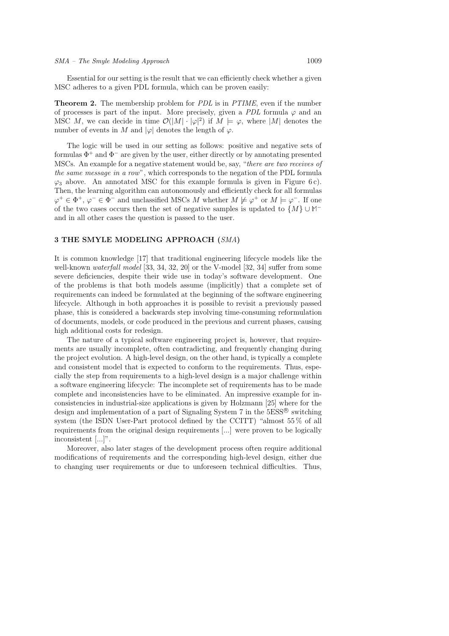Essential for our setting is the result that we can efficiently check whether a given MSC adheres to a given PDL formula, which can be proven easily:

Theorem 2. The membership problem for *PDL* is in *PTIME*, even if the number of processes is part of the input. More precisely, given a *PDL* formula  $\varphi$  and an MSC M, we can decide in time  $\mathcal{O}(|M| \cdot |\varphi|^2)$  if  $M \models \varphi$ , where |M| denotes the number of events in M and  $|\varphi|$  denotes the length of  $\varphi$ .

The logic will be used in our setting as follows: positive and negative sets of formulas  $\Phi^+$  and  $\Phi^-$  are given by the user, either directly or by annotating presented MSCs. An example for a negative statement would be, say, "*there are two receives of the same message in a row*", which corresponds to the negation of the PDL formula  $\varphi_3$  above. An annotated MSC for this example formula is given in Figure 6c). Then, the learning algorithm can autonomously and efficiently check for all formulas  $\varphi^+ \in \Phi^+, \varphi^- \in \Phi^-$  and unclassified MSCs M whether  $M \not\models \varphi^+$  or  $M \models \varphi^-$ . If one of the two cases occurs then the set of negative samples is updated to  $\{M\} \cup \mathbb{M}^$ and in all other cases the question is passed to the user.

## 3 THE SMYLE MODELING APPROACH (*SMA*)

It is common knowledge [17] that traditional engineering lifecycle models like the well-known *waterfall model* [33, 34, 32, 20] or the V-model [32, 34] suffer from some severe deficiencies, despite their wide use in today's software development. One of the problems is that both models assume (implicitly) that a complete set of requirements can indeed be formulated at the beginning of the software engineering lifecycle. Although in both approaches it is possible to revisit a previously passed phase, this is considered a backwards step involving time-consuming reformulation of documents, models, or code produced in the previous and current phases, causing high additional costs for redesign.

The nature of a typical software engineering project is, however, that requirements are usually incomplete, often contradicting, and frequently changing during the project evolution. A high-level design, on the other hand, is typically a complete and consistent model that is expected to conform to the requirements. Thus, especially the step from requirements to a high-level design is a major challenge within a software engineering lifecycle: The incomplete set of requirements has to be made complete and inconsistencies have to be eliminated. An impressive example for inconsistencies in industrial-size applications is given by Holzmann [25] where for the design and implementation of a part of Signaling System 7 in the  $5ESS^{\circledR}$  switching system (the ISDN User-Part protocol defined by the CCITT) "almost 55 % of all requirements from the original design requirements [...] were proven to be logically inconsistent [...]".

Moreover, also later stages of the development process often require additional modifications of requirements and the corresponding high-level design, either due to changing user requirements or due to unforeseen technical difficulties. Thus,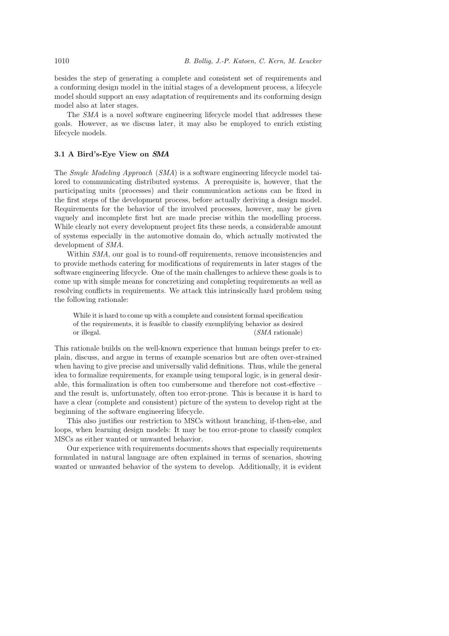besides the step of generating a complete and consistent set of requirements and a conforming design model in the initial stages of a development process, a lifecycle model should support an easy adaptation of requirements and its conforming design model also at later stages.

The *SMA* is a novel software engineering lifecycle model that addresses these goals. However, as we discuss later, it may also be employed to enrich existing lifecycle models.

## 3.1 A Bird's-Eye View on SMA

The *Smyle Modeling Approach* (*SMA*) is a software engineering lifecycle model tailored to communicating distributed systems. A prerequisite is, however, that the participating units (processes) and their communication actions can be fixed in the first steps of the development process, before actually deriving a design model. Requirements for the behavior of the involved processes, however, may be given vaguely and incomplete first but are made precise within the modelling process. While clearly not every development project fits these needs, a considerable amount of systems especially in the automotive domain do, which actually motivated the development of *SMA*.

Within *SMA*, our goal is to round-off requirements, remove inconsistencies and to provide methods catering for modifications of requirements in later stages of the software engineering lifecycle. One of the main challenges to achieve these goals is to come up with simple means for concretizing and completing requirements as well as resolving conflicts in requirements. We attack this intrinsically hard problem using the following rationale:

While it is hard to come up with a complete and consistent formal specification of the requirements, it is feasible to classify exemplifying behavior as desired or illegal. (SMA rationale)

This rationale builds on the well-known experience that human beings prefer to explain, discuss, and argue in terms of example scenarios but are often over-strained when having to give precise and universally valid definitions. Thus, while the general idea to formalize requirements, for example using temporal logic, is in general desirable, this formalization is often too cumbersome and therefore not cost-effective – and the result is, unfortunately, often too error-prone. This is because it is hard to have a clear (complete and consistent) picture of the system to develop right at the beginning of the software engineering lifecycle.

This also justifies our restriction to MSCs without branching, if-then-else, and loops, when learning design models: It may be too error-prone to classify complex MSCs as either wanted or unwanted behavior.

Our experience with requirements documents shows that especially requirements formulated in natural language are often explained in terms of scenarios, showing wanted or unwanted behavior of the system to develop. Additionally, it is evident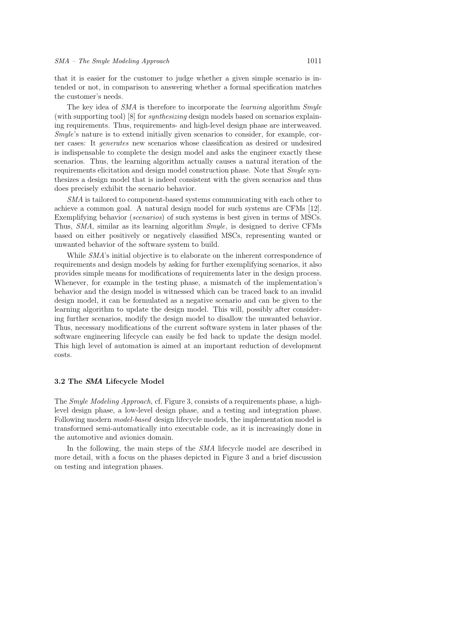that it is easier for the customer to judge whether a given simple scenario is intended or not, in comparison to answering whether a formal specification matches the customer's needs.

The key idea of *SMA* is therefore to incorporate the *learning* algorithm *Smyle* (with supporting tool) [8] for *synthesizing* design models based on scenarios explaining requirements. Thus, requirements- and high-level design phase are interweaved. *Smyle*'s nature is to extend initially given scenarios to consider, for example, corner cases: It *generates* new scenarios whose classification as desired or undesired is indispensable to complete the design model and asks the engineer exactly these scenarios. Thus, the learning algorithm actually causes a natural iteration of the requirements elicitation and design model construction phase. Note that *Smyle* synthesizes a design model that is indeed consistent with the given scenarios and thus does precisely exhibit the scenario behavior.

*SMA* is tailored to component-based systems communicating with each other to achieve a common goal. A natural design model for such systems are CFMs [12]. Exemplifying behavior (*scenarios*) of such systems is best given in terms of MSCs. Thus, *SMA*, similar as its learning algorithm *Smyle*, is designed to derive CFMs based on either positively or negatively classified MSCs, representing wanted or unwanted behavior of the software system to build.

While *SMA*'s initial objective is to elaborate on the inherent correspondence of requirements and design models by asking for further exemplifying scenarios, it also provides simple means for modifications of requirements later in the design process. Whenever, for example in the testing phase, a mismatch of the implementation's behavior and the design model is witnessed which can be traced back to an invalid design model, it can be formulated as a negative scenario and can be given to the learning algorithm to update the design model. This will, possibly after considering further scenarios, modify the design model to disallow the unwanted behavior. Thus, necessary modifications of the current software system in later phases of the software engineering lifecycle can easily be fed back to update the design model. This high level of automation is aimed at an important reduction of development costs.

## 3.2 The SMA Lifecycle Model

The *Smyle Modeling Approach*, cf. Figure 3, consists of a requirements phase, a highlevel design phase, a low-level design phase, and a testing and integration phase. Following modern *model-based* design lifecycle models, the implementation model is transformed semi-automatically into executable code, as it is increasingly done in the automotive and avionics domain.

In the following, the main steps of the *SMA* lifecycle model are described in more detail, with a focus on the phases depicted in Figure 3 and a brief discussion on testing and integration phases.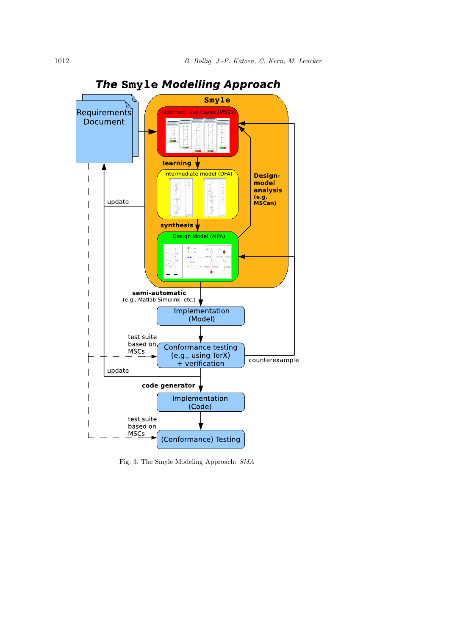

Fig. 3. The Smyle Modeling Approach: SMA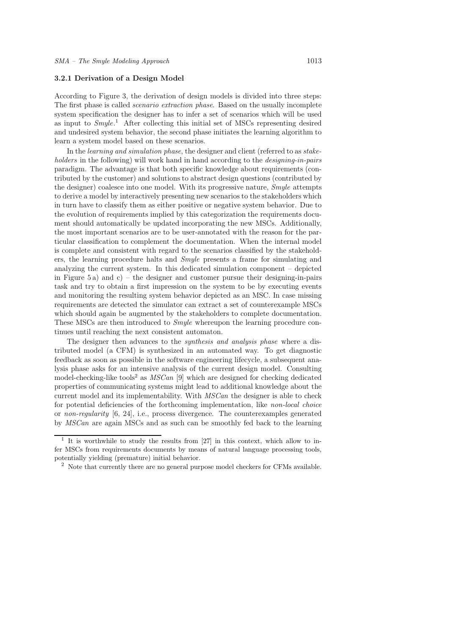## 3.2.1 Derivation of a Design Model

According to Figure 3, the derivation of design models is divided into three steps: The first phase is called *scenario extraction phase*. Based on the usually incomplete system specification the designer has to infer a set of scenarios which will be used as input to *Smyle*. <sup>1</sup> After collecting this initial set of MSCs representing desired and undesired system behavior, the second phase initiates the learning algorithm to learn a system model based on these scenarios.

In the *learning and simulation phase*, the designer and client (referred to as *stakeholders* in the following) will work hand in hand according to the *designing-in-pairs* paradigm. The advantage is that both specific knowledge about requirements (contributed by the customer) and solutions to abstract design questions (contributed by the designer) coalesce into one model. With its progressive nature, *Smyle* attempts to derive a model by interactively presenting new scenarios to the stakeholders which in turn have to classify them as either positive or negative system behavior. Due to the evolution of requirements implied by this categorization the requirements document should automatically be updated incorporating the new MSCs. Additionally, the most important scenarios are to be user-annotated with the reason for the particular classification to complement the documentation. When the internal model is complete and consistent with regard to the scenarios classified by the stakeholders, the learning procedure halts and *Smyle* presents a frame for simulating and analyzing the current system. In this dedicated simulation component – depicted in Figure 5 a) and c) – the designer and customer pursue their designing-in-pairs task and try to obtain a first impression on the system to be by executing events and monitoring the resulting system behavior depicted as an MSC. In case missing requirements are detected the simulator can extract a set of counterexample MSCs which should again be augmented by the stakeholders to complete documentation. These MSCs are then introduced to *Smyle* whereupon the learning procedure continues until reaching the next consistent automaton.

The designer then advances to the *synthesis and analysis phase* where a distributed model (a CFM) is synthesized in an automated way. To get diagnostic feedback as soon as possible in the software engineering lifecycle, a subsequent analysis phase asks for an intensive analysis of the current design model. Consulting model-checking-like tools<sup>2</sup> as *MSCan* [9] which are designed for checking dedicated properties of communicating systems might lead to additional knowledge about the current model and its implementability. With *MSCan* the designer is able to check for potential deficiencies of the forthcoming implementation, like *non-local choice* or *non-regularity* [6, 24], i.e., process divergence. The counterexamples generated by *MSCan* are again MSCs and as such can be smoothly fed back to the learning

<sup>1</sup> It is worthwhile to study the results from [27] in this context, which allow to infer MSCs from requirements documents by means of natural language processing tools, potentially yielding (premature) initial behavior.

<sup>2</sup> Note that currently there are no general purpose model checkers for CFMs available.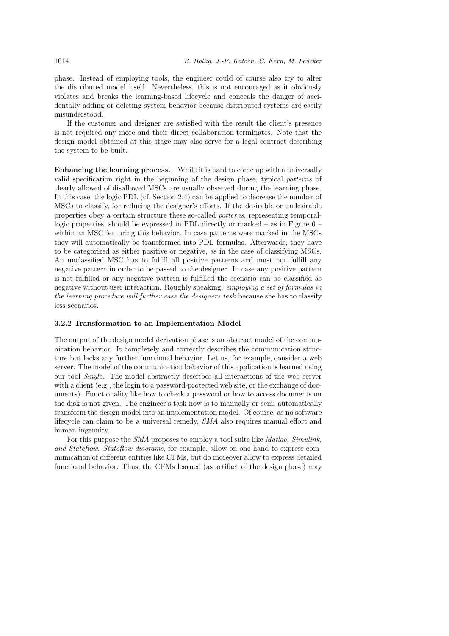phase. Instead of employing tools, the engineer could of course also try to alter the distributed model itself. Nevertheless, this is not encouraged as it obviously violates and breaks the learning-based lifecycle and conceals the danger of accidentally adding or deleting system behavior because distributed systems are easily misunderstood.

If the customer and designer are satisfied with the result the client's presence is not required any more and their direct collaboration terminates. Note that the design model obtained at this stage may also serve for a legal contract describing the system to be built.

Enhancing the learning process. While it is hard to come up with a universally valid specification right in the beginning of the design phase, typical *patterns* of clearly allowed of disallowed MSCs are usually observed during the learning phase. In this case, the logic PDL (cf. Section 2.4) can be applied to decrease the number of MSCs to classify, for reducing the designer's efforts. If the desirable or undesirable properties obey a certain structure these so-called *patterns*, representing temporallogic properties, should be expressed in PDL directly or marked – as in Figure 6 – within an MSC featuring this behavior. In case patterns were marked in the MSCs they will automatically be transformed into PDL formulas. Afterwards, they have to be categorized as either positive or negative, as in the case of classifying MSCs. An unclassified MSC has to fulfill all positive patterns and must not fulfill any negative pattern in order to be passed to the designer. In case any positive pattern is not fulfilled or any negative pattern is fulfilled the scenario can be classified as negative without user interaction. Roughly speaking: *employing a set of formulas in the learning procedure will further ease the designers task* because she has to classify less scenarios.

#### 3.2.2 Transformation to an Implementation Model

The output of the design model derivation phase is an abstract model of the communication behavior. It completely and correctly describes the communication structure but lacks any further functional behavior. Let us, for example, consider a web server. The model of the communication behavior of this application is learned using our tool *Smyle*. The model abstractly describes all interactions of the web server with a client (e.g., the login to a password-protected web site, or the exchange of documents). Functionality like how to check a password or how to access documents on the disk is not given. The engineer's task now is to manually or semi-automatically transform the design model into an implementation model. Of course, as no software lifecycle can claim to be a universal remedy, *SMA* also requires manual effort and human ingenuity.

For this purpose the *SMA* proposes to employ a tool suite like *Matlab, Simulink, and Stateflow*. *Stateflow diagrams*, for example, allow on one hand to express communication of different entities like CFMs, but do moreover allow to express detailed functional behavior. Thus, the CFMs learned (as artifact of the design phase) may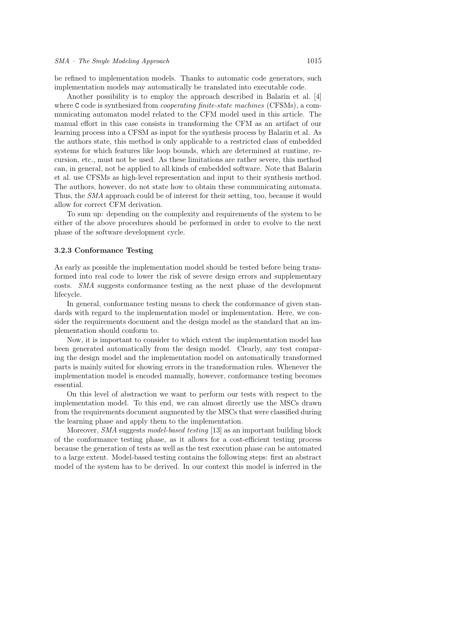be refined to implementation models. Thanks to automatic code generators, such implementation models may automatically be translated into executable code.

Another possibility is to employ the approach described in Balarin et al. [4] where C code is synthesized from *cooperating finite-state machines* (CFSMs), a communicating automaton model related to the CFM model used in this article. The manual effort in this case consists in transforming the CFM as an artifact of our learning process into a CFSM as input for the synthesis process by Balarin et al. As the authors state, this method is only applicable to a restricted class of embedded systems for which features like loop bounds, which are determined at runtime, recursion, etc., must not be used. As these limitations are rather severe, this method can, in general, not be applied to all kinds of embedded software. Note that Balarin et al. use CFSMs as high-level representation and input to their synthesis method. The authors, however, do not state how to obtain these communicating automata. Thus, the *SMA* approach could be of interest for their setting, too, because it would allow for correct CFM derivation.

To sum up: depending on the complexity and requirements of the system to be either of the above procedures should be performed in order to evolve to the next phase of the software development cycle.

## 3.2.3 Conformance Testing

As early as possible the implementation model should be tested before being transformed into real code to lower the risk of severe design errors and supplementary costs. *SMA* suggests conformance testing as the next phase of the development lifecycle.

In general, conformance testing means to check the conformance of given standards with regard to the implementation model or implementation. Here, we consider the requirements document and the design model as the standard that an implementation should conform to.

Now, it is important to consider to which extent the implementation model has been generated automatically from the design model. Clearly, any test comparing the design model and the implementation model on automatically transformed parts is mainly suited for showing errors in the transformation rules. Whenever the implementation model is encoded manually, however, conformance testing becomes essential.

On this level of abstraction we want to perform our tests with respect to the implementation model. To this end, we can almost directly use the MSCs drawn from the requirements document augmented by the MSCs that were classified during the learning phase and apply them to the implementation.

Moreover, *SMA* suggests *model-based testing* [13] as an important building block of the conformance testing phase, as it allows for a cost-efficient testing process because the generation of tests as well as the test execution phase can be automated to a large extent. Model-based testing contains the following steps: first an abstract model of the system has to be derived. In our context this model is inferred in the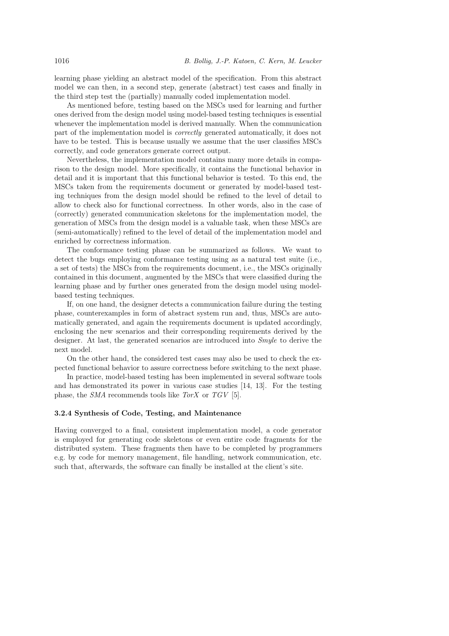learning phase yielding an abstract model of the specification. From this abstract model we can then, in a second step, generate (abstract) test cases and finally in the third step test the (partially) manually coded implementation model.

As mentioned before, testing based on the MSCs used for learning and further ones derived from the design model using model-based testing techniques is essential whenever the implementation model is derived manually. When the communication part of the implementation model is *correctly* generated automatically, it does not have to be tested. This is because usually we assume that the user classifies MSCs correctly, and code generators generate correct output.

Nevertheless, the implementation model contains many more details in comparison to the design model. More specifically, it contains the functional behavior in detail and it is important that this functional behavior is tested. To this end, the MSCs taken from the requirements document or generated by model-based testing techniques from the design model should be refined to the level of detail to allow to check also for functional correctness. In other words, also in the case of (correctly) generated communication skeletons for the implementation model, the generation of MSCs from the design model is a valuable task, when these MSCs are (semi-automatically) refined to the level of detail of the implementation model and enriched by correctness information.

The conformance testing phase can be summarized as follows. We want to detect the bugs employing conformance testing using as a natural test suite (i.e., a set of tests) the MSCs from the requirements document, i.e., the MSCs originally contained in this document, augmented by the MSCs that were classified during the learning phase and by further ones generated from the design model using modelbased testing techniques.

If, on one hand, the designer detects a communication failure during the testing phase, counterexamples in form of abstract system run and, thus, MSCs are automatically generated, and again the requirements document is updated accordingly, enclosing the new scenarios and their corresponding requirements derived by the designer. At last, the generated scenarios are introduced into *Smyle* to derive the next model.

On the other hand, the considered test cases may also be used to check the expected functional behavior to assure correctness before switching to the next phase.

In practice, model-based testing has been implemented in several software tools and has demonstrated its power in various case studies [14, 13]. For the testing phase, the *SMA* recommends tools like *TorX* or *TGV* [5].

## 3.2.4 Synthesis of Code, Testing, and Maintenance

Having converged to a final, consistent implementation model, a code generator is employed for generating code skeletons or even entire code fragments for the distributed system. These fragments then have to be completed by programmers e.g. by code for memory management, file handling, network communication, etc. such that, afterwards, the software can finally be installed at the client's site.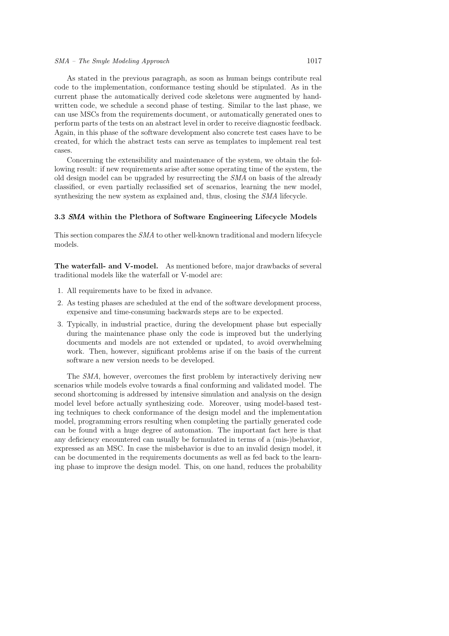As stated in the previous paragraph, as soon as human beings contribute real code to the implementation, conformance testing should be stipulated. As in the current phase the automatically derived code skeletons were augmented by handwritten code, we schedule a second phase of testing. Similar to the last phase, we can use MSCs from the requirements document, or automatically generated ones to perform parts of the tests on an abstract level in order to receive diagnostic feedback. Again, in this phase of the software development also concrete test cases have to be created, for which the abstract tests can serve as templates to implement real test cases.

Concerning the extensibility and maintenance of the system, we obtain the following result: if new requirements arise after some operating time of the system, the old design model can be upgraded by resurrecting the *SMA* on basis of the already classified, or even partially reclassified set of scenarios, learning the new model, synthesizing the new system as explained and, thus, closing the *SMA* lifecycle.

## 3.3 SMA within the Plethora of Software Engineering Lifecycle Models

This section compares the *SMA* to other well-known traditional and modern lifecycle models.

The waterfall- and V-model. As mentioned before, major drawbacks of several traditional models like the waterfall or V-model are:

- 1. All requirements have to be fixed in advance.
- 2. As testing phases are scheduled at the end of the software development process, expensive and time-consuming backwards steps are to be expected.
- 3. Typically, in industrial practice, during the development phase but especially during the maintenance phase only the code is improved but the underlying documents and models are not extended or updated, to avoid overwhelming work. Then, however, significant problems arise if on the basis of the current software a new version needs to be developed.

The *SMA*, however, overcomes the first problem by interactively deriving new scenarios while models evolve towards a final conforming and validated model. The second shortcoming is addressed by intensive simulation and analysis on the design model level before actually synthesizing code. Moreover, using model-based testing techniques to check conformance of the design model and the implementation model, programming errors resulting when completing the partially generated code can be found with a huge degree of automation. The important fact here is that any deficiency encountered can usually be formulated in terms of a (mis-)behavior, expressed as an MSC. In case the misbehavior is due to an invalid design model, it can be documented in the requirements documents as well as fed back to the learning phase to improve the design model. This, on one hand, reduces the probability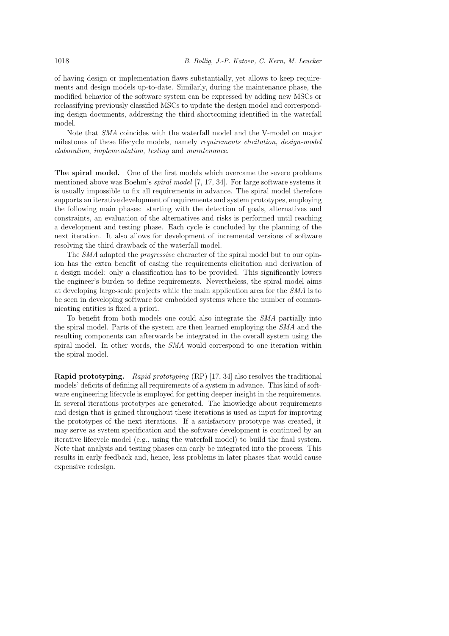of having design or implementation flaws substantially, yet allows to keep requirements and design models up-to-date. Similarly, during the maintenance phase, the modified behavior of the software system can be expressed by adding new MSCs or reclassifying previously classified MSCs to update the design model and corresponding design documents, addressing the third shortcoming identified in the waterfall model.

Note that *SMA* coincides with the waterfall model and the V-model on major milestones of these lifecycle models, namely *requirements elicitation*, *design-model elaboration*, *implementation*, *testing* and *maintenance*.

The spiral model. One of the first models which overcame the severe problems mentioned above was Boehm's *spiral model* [7, 17, 34]. For large software systems it is usually impossible to fix all requirements in advance. The spiral model therefore supports an iterative development of requirements and system prototypes, employing the following main phases: starting with the detection of goals, alternatives and constraints, an evaluation of the alternatives and risks is performed until reaching a development and testing phase. Each cycle is concluded by the planning of the next iteration. It also allows for development of incremental versions of software resolving the third drawback of the waterfall model.

The *SMA* adapted the *progressive* character of the spiral model but to our opinion has the extra benefit of easing the requirements elicitation and derivation of a design model: only a classification has to be provided. This significantly lowers the engineer's burden to define requirements. Nevertheless, the spiral model aims at developing large-scale projects while the main application area for the *SMA* is to be seen in developing software for embedded systems where the number of communicating entities is fixed a priori.

To benefit from both models one could also integrate the *SMA* partially into the spiral model. Parts of the system are then learned employing the *SMA* and the resulting components can afterwards be integrated in the overall system using the spiral model. In other words, the *SMA* would correspond to one iteration within the spiral model.

Rapid prototyping. *Rapid prototyping* (RP) [17, 34] also resolves the traditional models' deficits of defining all requirements of a system in advance. This kind of software engineering lifecycle is employed for getting deeper insight in the requirements. In several iterations prototypes are generated. The knowledge about requirements and design that is gained throughout these iterations is used as input for improving the prototypes of the next iterations. If a satisfactory prototype was created, it may serve as system specification and the software development is continued by an iterative lifecycle model (e.g., using the waterfall model) to build the final system. Note that analysis and testing phases can early be integrated into the process. This results in early feedback and, hence, less problems in later phases that would cause expensive redesign.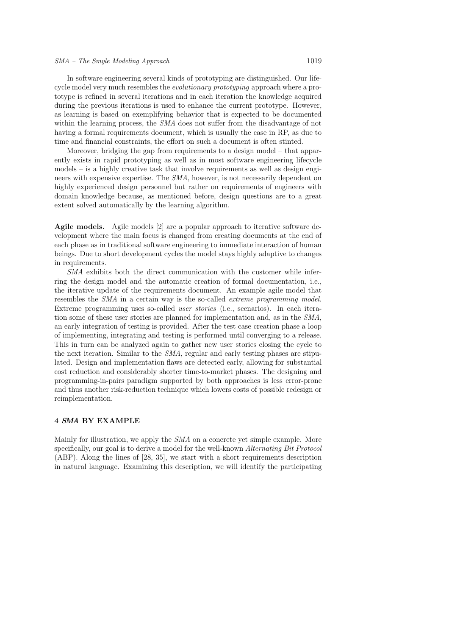#### SMA – The Smyle Modeling Approach 1019

In software engineering several kinds of prototyping are distinguished. Our lifecycle model very much resembles the *evolutionary prototyping* approach where a prototype is refined in several iterations and in each iteration the knowledge acquired during the previous iterations is used to enhance the current prototype. However, as learning is based on exemplifying behavior that is expected to be documented within the learning process, the *SMA* does not suffer from the disadvantage of not having a formal requirements document, which is usually the case in RP, as due to time and financial constraints, the effort on such a document is often stinted.

Moreover, bridging the gap from requirements to a design model – that apparently exists in rapid prototyping as well as in most software engineering lifecycle models – is a highly creative task that involve requirements as well as design engineers with expensive expertise. The *SMA*, however, is not necessarily dependent on highly experienced design personnel but rather on requirements of engineers with domain knowledge because, as mentioned before, design questions are to a great extent solved automatically by the learning algorithm.

Agile models. Agile models [2] are a popular approach to iterative software development where the main focus is changed from creating documents at the end of each phase as in traditional software engineering to immediate interaction of human beings. Due to short development cycles the model stays highly adaptive to changes in requirements.

*SMA* exhibits both the direct communication with the customer while inferring the design model and the automatic creation of formal documentation, i.e., the iterative update of the requirements document. An example agile model that resembles the *SMA* in a certain way is the so-called *extreme programming model*. Extreme programming uses so-called *user stories* (i.e., scenarios). In each iteration some of these user stories are planned for implementation and, as in the *SMA*, an early integration of testing is provided. After the test case creation phase a loop of implementing, integrating and testing is performed until converging to a release. This in turn can be analyzed again to gather new user stories closing the cycle to the next iteration. Similar to the *SMA*, regular and early testing phases are stipulated. Design and implementation flaws are detected early, allowing for substantial cost reduction and considerably shorter time-to-market phases. The designing and programming-in-pairs paradigm supported by both approaches is less error-prone and thus another risk-reduction technique which lowers costs of possible redesign or reimplementation.

### 4 SMA BY EXAMPLE

Mainly for illustration, we apply the *SMA* on a concrete yet simple example. More specifically, our goal is to derive a model for the well-known *Alternating Bit Protocol* (ABP). Along the lines of [28, 35], we start with a short requirements description in natural language. Examining this description, we will identify the participating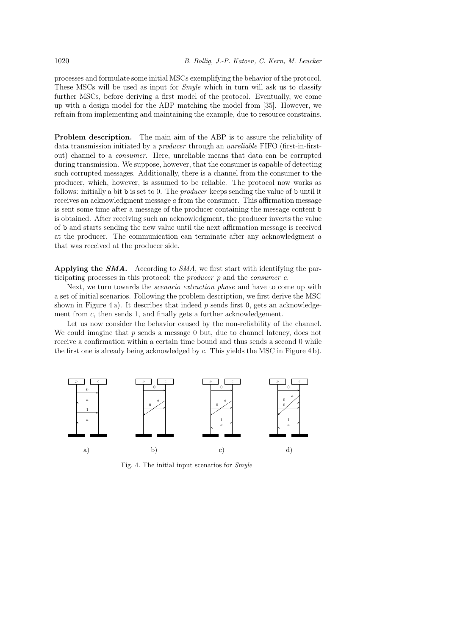processes and formulate some initial MSCs exemplifying the behavior of the protocol. These MSCs will be used as input for *Smyle* which in turn will ask us to classify further MSCs, before deriving a first model of the protocol. Eventually, we come up with a design model for the ABP matching the model from [35]. However, we refrain from implementing and maintaining the example, due to resource constrains.

Problem description. The main aim of the ABP is to assure the reliability of data transmission initiated by a *producer* through an *unreliable* FIFO (first-in-firstout) channel to a *consumer*. Here, unreliable means that data can be corrupted during transmission. We suppose, however, that the consumer is capable of detecting such corrupted messages. Additionally, there is a channel from the consumer to the producer, which, however, is assumed to be reliable. The protocol now works as follows: initially a bit b is set to 0. The *producer* keeps sending the value of b until it receives an acknowledgment message a from the consumer. This affirmation message is sent some time after a message of the producer containing the message content b is obtained. After receiving such an acknowledgment, the producer inverts the value of b and starts sending the new value until the next affirmation message is received at the producer. The communication can terminate after any acknowledgment a that was received at the producer side.

Applying the SMA. According to *SMA*, we first start with identifying the participating processes in this protocol: the *producer* p and the *consumer* c.

Next, we turn towards the *scenario extraction phase* and have to come up with a set of initial scenarios. Following the problem description, we first derive the MSC shown in Figure 4 a). It describes that indeed  $p$  sends first 0, gets an acknowledgement from c, then sends 1, and finally gets a further acknowledgement.

Let us now consider the behavior caused by the non-reliability of the channel. We could imagine that  $p$  sends a message 0 but, due to channel latency, does not receive a confirmation within a certain time bound and thus sends a second 0 while the first one is already being acknowledged by c. This yields the MSC in Figure 4 b).



Fig. 4. The initial input scenarios for Smyle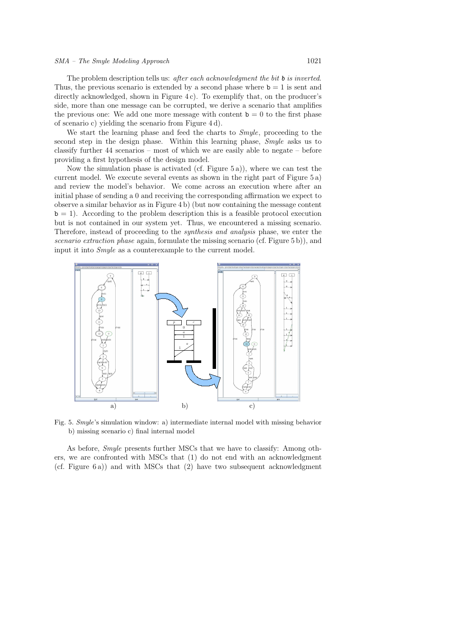#### $SMA - The \; Smyle \; Modeling \; Approach \; 1021$

The problem description tells us: *after each acknowledgment the bit* b *is inverted*. Thus, the previous scenario is extended by a second phase where  $b = 1$  is sent and directly acknowledged, shown in Figure 4c). To exemplify that, on the producer's side, more than one message can be corrupted, we derive a scenario that amplifies the previous one: We add one more message with content  $b = 0$  to the first phase of scenario c) yielding the scenario from Figure 4 d).

We start the learning phase and feed the charts to *Smyle*, proceeding to the second step in the design phase. Within this learning phase, *Smyle* asks us to classify further 44 scenarios – most of which we are easily able to negate – before providing a first hypothesis of the design model.

Now the simulation phase is activated (cf. Figure 5 a)), where we can test the current model. We execute several events as shown in the right part of Figure 5 a) and review the model's behavior. We come across an execution where after an initial phase of sending a 0 and receiving the corresponding affirmation we expect to observe a similar behavior as in Figure 4 b) (but now containing the message content  $b = 1$ ). According to the problem description this is a feasible protocol execution but is not contained in our system yet. Thus, we encountered a missing scenario. Therefore, instead of proceeding to the *synthesis and analysis* phase, we enter the *scenario extraction phase* again, formulate the missing scenario (cf. Figure 5 b)), and input it into *Smyle* as a counterexample to the current model.



Fig. 5. Smyle's simulation window: a) intermediate internal model with missing behavior b) missing scenario c) final internal model

As before, *Smyle* presents further MSCs that we have to classify: Among others, we are confronted with MSCs that (1) do not end with an acknowledgment (cf. Figure 6 a)) and with MSCs that (2) have two subsequent acknowledgment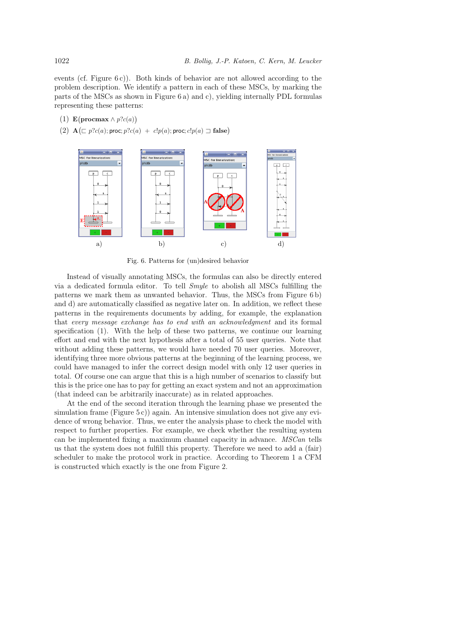events (cf. Figure  $6 c)$ ). Both kinds of behavior are not allowed according to the problem description. We identify a pattern in each of these MSCs, by marking the parts of the MSCs as shown in Figure 6 a) and c), yielding internally PDL formulas representing these patterns:

- (1) **E**(procmax  $\land$   $p?c(a)$ )
- (2)  $\mathbf{A}(\sqsubset p?c(a); \mathsf{proc}; p?c(a) + c!p(a); \mathsf{proc}; c!p(a) \sqsupset \mathbf{false})$



Fig. 6. Patterns for (un)desired behavior

Instead of visually annotating MSCs, the formulas can also be directly entered via a dedicated formula editor. To tell *Smyle* to abolish all MSCs fulfilling the patterns we mark them as unwanted behavior. Thus, the MSCs from Figure 6 b) and d) are automatically classified as negative later on. In addition, we reflect these patterns in the requirements documents by adding, for example, the explanation that *every message exchange has to end with an acknowledgment* and its formal specification (1). With the help of these two patterns, we continue our learning effort and end with the next hypothesis after a total of 55 user queries. Note that without adding these patterns, we would have needed 70 user queries. Moreover, identifying three more obvious patterns at the beginning of the learning process, we could have managed to infer the correct design model with only 12 user queries in total. Of course one can argue that this is a high number of scenarios to classify but this is the price one has to pay for getting an exact system and not an approximation (that indeed can be arbitrarily inaccurate) as in related approaches.

At the end of the second iteration through the learning phase we presented the simulation frame (Figure 5 c)) again. An intensive simulation does not give any evidence of wrong behavior. Thus, we enter the analysis phase to check the model with respect to further properties. For example, we check whether the resulting system can be implemented fixing a maximum channel capacity in advance. *MSCan* tells us that the system does not fulfill this property. Therefore we need to add a (fair) scheduler to make the protocol work in practice. According to Theorem 1 a CFM is constructed which exactly is the one from Figure 2.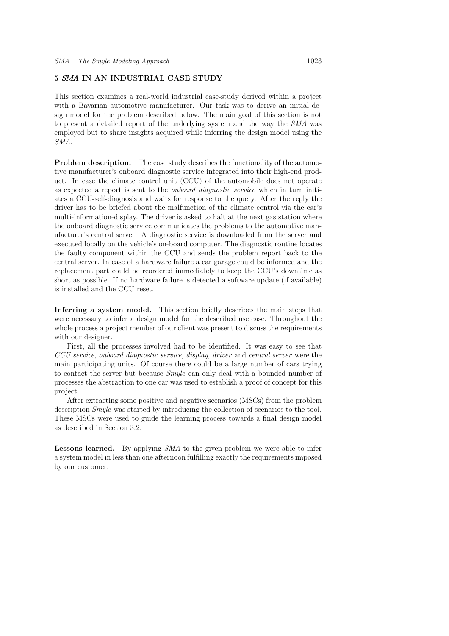## 5 SMA IN AN INDUSTRIAL CASE STUDY

This section examines a real-world industrial case-study derived within a project with a Bavarian automotive manufacturer. Our task was to derive an initial design model for the problem described below. The main goal of this section is not to present a detailed report of the underlying system and the way the *SMA* was employed but to share insights acquired while inferring the design model using the *SMA*.

Problem description. The case study describes the functionality of the automotive manufacturer's onboard diagnostic service integrated into their high-end product. In case the climate control unit (CCU) of the automobile does not operate as expected a report is sent to the *onboard diagnostic service* which in turn initiates a CCU-self-diagnosis and waits for response to the query. After the reply the driver has to be briefed about the malfunction of the climate control via the car's multi-information-display. The driver is asked to halt at the next gas station where the onboard diagnostic service communicates the problems to the automotive manufacturer's central server. A diagnostic service is downloaded from the server and executed locally on the vehicle's on-board computer. The diagnostic routine locates the faulty component within the CCU and sends the problem report back to the central server. In case of a hardware failure a car garage could be informed and the replacement part could be reordered immediately to keep the CCU's downtime as short as possible. If no hardware failure is detected a software update (if available) is installed and the CCU reset.

Inferring a system model. This section briefly describes the main steps that were necessary to infer a design model for the described use case. Throughout the whole process a project member of our client was present to discuss the requirements with our designer.

First, all the processes involved had to be identified. It was easy to see that *CCU service*, *onboard diagnostic service*, *display*, *driver* and *central server* were the main participating units. Of course there could be a large number of cars trying to contact the server but because *Smyle* can only deal with a bounded number of processes the abstraction to one car was used to establish a proof of concept for this project.

After extracting some positive and negative scenarios (MSCs) from the problem description *Smyle* was started by introducing the collection of scenarios to the tool. These MSCs were used to guide the learning process towards a final design model as described in Section 3.2.

Lessons learned. By applying *SMA* to the given problem we were able to infer a system model in less than one afternoon fulfilling exactly the requirements imposed by our customer.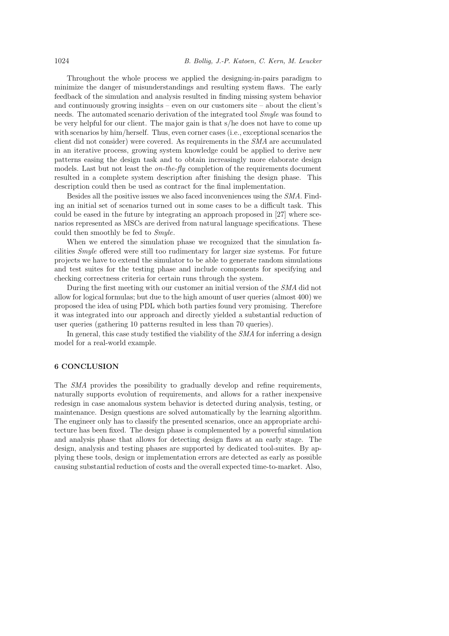Throughout the whole process we applied the designing-in-pairs paradigm to minimize the danger of misunderstandings and resulting system flaws. The early feedback of the simulation and analysis resulted in finding missing system behavior and continuously growing insights – even on our customers site – about the client's needs. The automated scenario derivation of the integrated tool *Smyle* was found to be very helpful for our client. The major gain is that s/he does not have to come up with scenarios by him/herself. Thus, even corner cases (i.e., exceptional scenarios the client did not consider) were covered. As requirements in the *SMA* are accumulated in an iterative process, growing system knowledge could be applied to derive new patterns easing the design task and to obtain increasingly more elaborate design models. Last but not least the *on-the-fly* completion of the requirements document resulted in a complete system description after finishing the design phase. This description could then be used as contract for the final implementation.

Besides all the positive issues we also faced inconveniences using the *SMA*. Finding an initial set of scenarios turned out in some cases to be a difficult task. This could be eased in the future by integrating an approach proposed in [27] where scenarios represented as MSCs are derived from natural language specifications. These could then smoothly be fed to *Smyle*.

When we entered the simulation phase we recognized that the simulation facilities *Smyle* offered were still too rudimentary for larger size systems. For future projects we have to extend the simulator to be able to generate random simulations and test suites for the testing phase and include components for specifying and checking correctness criteria for certain runs through the system.

During the first meeting with our customer an initial version of the *SMA* did not allow for logical formulas; but due to the high amount of user queries (almost 400) we proposed the idea of using PDL which both parties found very promising. Therefore it was integrated into our approach and directly yielded a substantial reduction of user queries (gathering 10 patterns resulted in less than 70 queries).

In general, this case study testified the viability of the *SMA* for inferring a design model for a real-world example.

### 6 CONCLUSION

The *SMA* provides the possibility to gradually develop and refine requirements, naturally supports evolution of requirements, and allows for a rather inexpensive redesign in case anomalous system behavior is detected during analysis, testing, or maintenance. Design questions are solved automatically by the learning algorithm. The engineer only has to classify the presented scenarios, once an appropriate architecture has been fixed. The design phase is complemented by a powerful simulation and analysis phase that allows for detecting design flaws at an early stage. The design, analysis and testing phases are supported by dedicated tool-suites. By applying these tools, design or implementation errors are detected as early as possible causing substantial reduction of costs and the overall expected time-to-market. Also,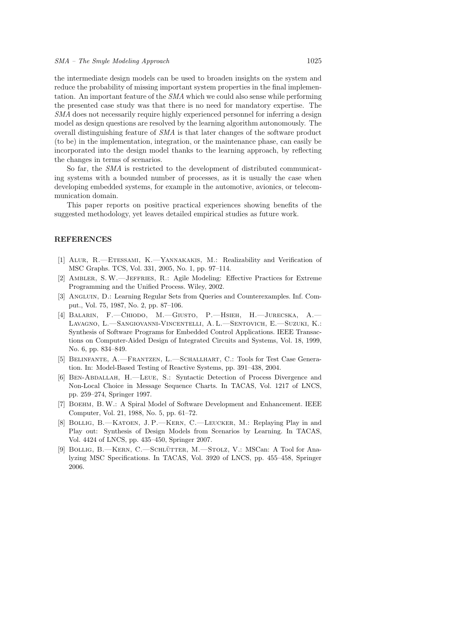the intermediate design models can be used to broaden insights on the system and reduce the probability of missing important system properties in the final implementation. An important feature of the *SMA* which we could also sense while performing the presented case study was that there is no need for mandatory expertise. The *SMA* does not necessarily require highly experienced personnel for inferring a design model as design questions are resolved by the learning algorithm autonomously. The overall distinguishing feature of *SMA* is that later changes of the software product (to be) in the implementation, integration, or the maintenance phase, can easily be incorporated into the design model thanks to the learning approach, by reflecting the changes in terms of scenarios.

So far, the *SMA* is restricted to the development of distributed communicating systems with a bounded number of processes, as it is usually the case when developing embedded systems, for example in the automotive, avionics, or telecommunication domain.

This paper reports on positive practical experiences showing benefits of the suggested methodology, yet leaves detailed empirical studies as future work.

## **REFERENCES**

- [1] Alur, R.—Etessami, K.—Yannakakis, M.: Realizability and Verification of MSC Graphs. TCS, Vol. 331, 2005, No. 1, pp. 97–114.
- [2] Ambler, S. W.—Jeffries, R.: Agile Modeling: Effective Practices for Extreme Programming and the Unified Process. Wiley, 2002.
- [3] Angluin, D.: Learning Regular Sets from Queries and Counterexamples. Inf. Comput., Vol. 75, 1987, No. 2, pp. 87–106.
- [4] Balarin, F.—Chiodo, M.—Giusto, P.—Hsieh, H.—Jurecska, A.— Lavagno, L.—Sangiovanni-Vincentelli, A. L.—Sentovich, E.—Suzuki, K.: Synthesis of Software Programs for Embedded Control Applications. IEEE Transactions on Computer-Aided Design of Integrated Circuits and Systems, Vol. 18, 1999, No. 6, pp. 834–849.
- [5] Belinfante, A.—Frantzen, L.—Schallhart, C.: Tools for Test Case Generation. In: Model-Based Testing of Reactive Systems, pp. 391–438, 2004.
- [6] Ben-Abdallah, H.—Leue, S.: Syntactic Detection of Process Divergence and Non-Local Choice in Message Sequence Charts. In TACAS, Vol. 1217 of LNCS, pp. 259–274, Springer 1997.
- [7] Boehm, B.W.: A Spiral Model of Software Development and Enhancement. IEEE Computer, Vol. 21, 1988, No. 5, pp. 61–72.
- [8] Bollig, B.—Katoen, J. P.—Kern, C.—Leucker, M.: Replaying Play in and Play out: Synthesis of Design Models from Scenarios by Learning. In TACAS, Vol. 4424 of LNCS, pp. 435–450, Springer 2007.
- [9] BOLLIG, B.—KERN, C.—SCHLÜTTER, M.—STOLZ, V.: MSCan: A Tool for Analyzing MSC Specifications. In TACAS, Vol. 3920 of LNCS, pp. 455–458, Springer 2006.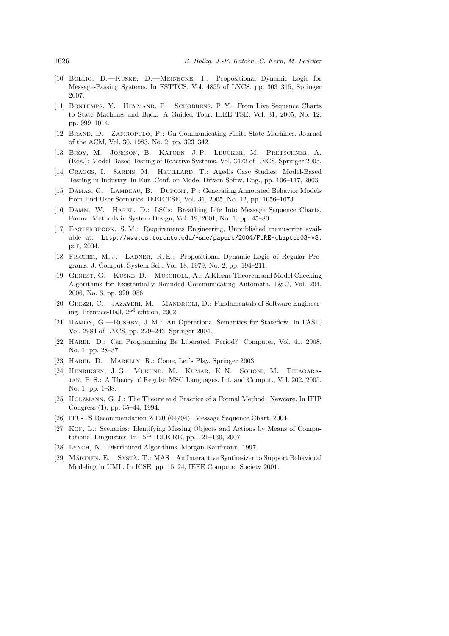- [10] Bollig, B.—Kuske, D.—Meinecke, I.: Propositional Dynamic Logic for Message-Passing Systems. In FSTTCS, Vol. 4855 of LNCS, pp. 303–315, Springer 2007.
- [11] Bontemps, Y.—Heymand, P.—Schobbens, P. Y.: From Live Sequence Charts to State Machines and Back: A Guided Tour. IEEE TSE, Vol. 31, 2005, No. 12, pp. 999–1014.
- [12] Brand, D.—Zafiropulo, P.: On Communicating Finite-State Machines. Journal of the ACM, Vol. 30, 1983, No. 2, pp. 323–342.
- [13] Broy, M.—Jonsson, B.—Katoen, J. P.—Leucker, M.—Pretschner, A. (Eds.): Model-Based Testing of Reactive Systems. Vol. 3472 of LNCS, Springer 2005.
- [14] CRAGGS, I.-SARDIS, M.-HEUILLARD, T.: Agedis Case Studies: Model-Based Testing in Industry. In Eur. Conf. on Model Driven Softw. Eng., pp. 106–117, 2003.
- [15] Damas, C.—Lambeau, B.—Dupont, P.: Generating Annotated Behavior Models from End-User Scenarios. IEEE TSE, Vol. 31, 2005, No. 12, pp. 1056–1073.
- [16] Damm, W.—Harel, D.: LSCs: Breathing Life Into Message Sequence Charts. Formal Methods in System Design, Vol. 19, 2001, No. 1, pp. 45–80.
- [17] Easterbrook, S. M.: Requirements Engineering. Unpublished manuscript available at: http://www.cs.toronto.edu/~sme/papers/2004/FoRE-chapter03-v8. pdf, 2004.
- [18] Fischer, M. J.—Ladner, R. E.: Propositional Dynamic Logic of Regular Programs. J. Comput. System Sci., Vol. 18, 1979, No. 2, pp. 194–211.
- [19] Genest, G.—Kuske, D.—Muscholl, A.: A Kleene Theorem and Model Checking Algorithms for Existentially Bounded Communicating Automata. I & C, Vol. 204, 2006, No. 6, pp. 920–956.
- [20] GHEZZI, C.-JAZAYERI, M.-MANDRIOLI, D.: Fundamentals of Software Engineering. Prentice-Hall, 2nd edition, 2002.
- [21] HAMON, G.—RUSHBY, J. M.: An Operational Semantics for Stateflow. In FASE, Vol. 2984 of LNCS, pp. 229–243, Springer 2004.
- [22] HAREL, D.: Can Programming Be Liberated, Period? Computer, Vol. 41, 2008, No. 1, pp. 28–37.
- [23] HAREL, D. MARELLY, R.: Come, Let's Play. Springer 2003.
- [24] Henriksen, J. G.—Mukund, M.—Kumar, K. N.—Sohoni, M.—Thiagarajan, P. S.: A Theory of Regular MSC Languages. Inf. and Comput., Vol. 202, 2005, No. 1, pp. 1–38.
- [25] Holzmann, G. J.: The Theory and Practice of a Formal Method: Newcore. In IFIP Congress (1), pp. 35–44, 1994.
- [26] ITU-TS Recommendation Z.120 (04/04): Message Sequence Chart, 2004.
- [27] Kof, L.: Scenarios: Identifying Missing Objects and Actions by Means of Computational Linguistics. In  $15<sup>th</sup>$  IEEE RE, pp. 121–130, 2007.
- [28] LYNCH, N.: Distributed Algorithms. Morgan Kaufmann, 1997.
- [29] MÄKINEN, E.—SYSTÄ, T.: MAS An Interactive Synthesizer to Support Behavioral Modeling in UML. In ICSE, pp. 15–24, IEEE Computer Society 2001.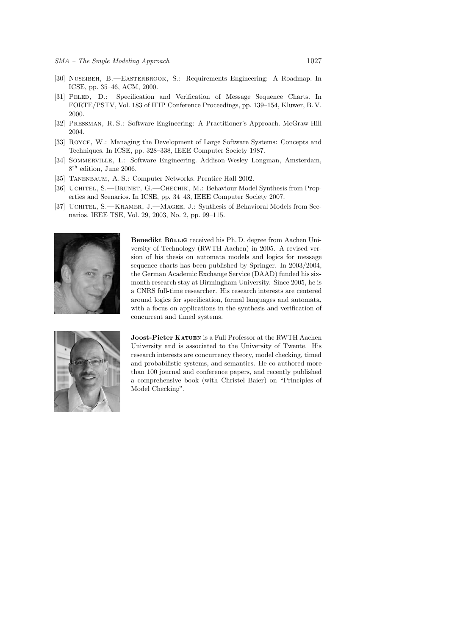- [30] Nuseibeh, B.—Easterbrook, S.: Requirements Engineering: A Roadmap. In ICSE, pp. 35–46, ACM, 2000.
- [31] PELED, D.: Specification and Verification of Message Sequence Charts. In FORTE/PSTV, Vol. 183 of IFIP Conference Proceedings, pp. 139–154, Kluwer, B. V. 2000.
- [32] Pressman, R. S.: Software Engineering: A Practitioner's Approach. McGraw-Hill 2004.
- [33] Royce, W.: Managing the Development of Large Software Systems: Concepts and Techniques. In ICSE, pp. 328–338, IEEE Computer Society 1987.
- [34] SOMMERVILLE, I.: Software Engineering. Addison-Wesley Longman, Amsterdam, 8 th edition, June 2006.
- [35] TANENBAUM, A. S.: Computer Networks. Prentice Hall 2002.
- [36] Uchitel, S.—Brunet, G.—Chechik, M.: Behaviour Model Synthesis from Properties and Scenarios. In ICSE, pp. 34–43, IEEE Computer Society 2007.
- [37] UCHITEL, S.-KRAMER, J.-MAGEE, J.: Synthesis of Behavioral Models from Scenarios. IEEE TSE, Vol. 29, 2003, No. 2, pp. 99–115.



Benedikt Bollig received his Ph. D. degree from Aachen University of Technology (RWTH Aachen) in 2005. A revised version of his thesis on automata models and logics for message sequence charts has been published by Springer. In 2003/2004, the German Academic Exchange Service (DAAD) funded his sixmonth research stay at Birmingham University. Since 2005, he is a CNRS full-time researcher. His research interests are centered around logics for specification, formal languages and automata, with a focus on applications in the synthesis and verification of concurrent and timed systems.



Joost-Pieter KATOEN is a Full Professor at the RWTH Aachen University and is associated to the University of Twente. His research interests are concurrency theory, model checking, timed and probabilistic systems, and semantics. He co-authored more than 100 journal and conference papers, and recently published a comprehensive book (with Christel Baier) on "Principles of Model Checking".